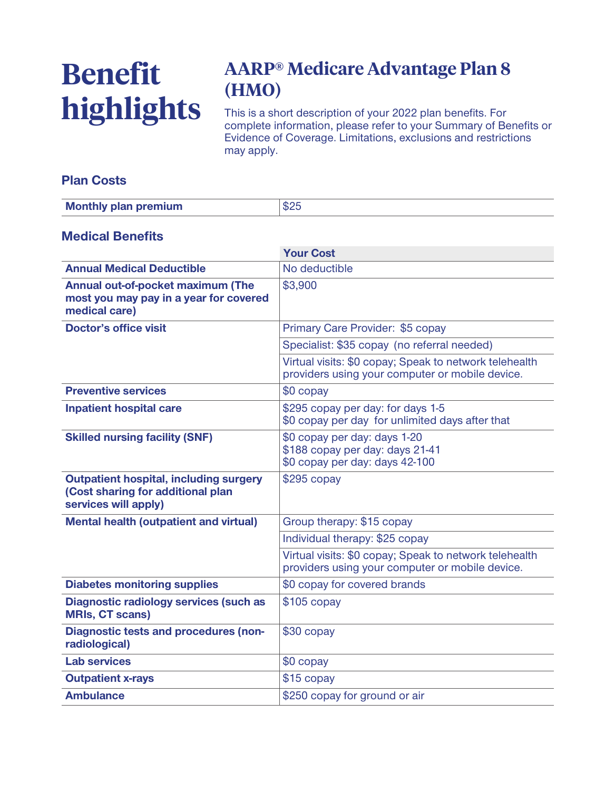# **Benefit highlights**

## **AARP® Medicare Advantage Plan 8 (HMO)**

**This is a short description of your 2022 plan benefits. For complete information, please refer to your Summary of Benefits or Evidence of Coverage. Limitations, exclusions and restrictions may apply.**

#### **Plan Costs**

| <b>Monthly plan premium</b> |  |
|-----------------------------|--|

#### **Medical Benefits**

|                                                                                                            | <b>Your Cost</b>                                                                                          |  |
|------------------------------------------------------------------------------------------------------------|-----------------------------------------------------------------------------------------------------------|--|
| <b>Annual Medical Deductible</b>                                                                           | No deductible                                                                                             |  |
| Annual out-of-pocket maximum (The<br>most you may pay in a year for covered<br>medical care)               | \$3,900                                                                                                   |  |
| <b>Doctor's office visit</b>                                                                               | Primary Care Provider: \$5 copay                                                                          |  |
|                                                                                                            | Specialist: \$35 copay (no referral needed)                                                               |  |
|                                                                                                            | Virtual visits: \$0 copay; Speak to network telehealth<br>providers using your computer or mobile device. |  |
| <b>Preventive services</b>                                                                                 | \$0 copay                                                                                                 |  |
| <b>Inpatient hospital care</b>                                                                             | \$295 copay per day: for days 1-5<br>\$0 copay per day for unlimited days after that                      |  |
| <b>Skilled nursing facility (SNF)</b>                                                                      | \$0 copay per day: days 1-20<br>\$188 copay per day: days 21-41<br>\$0 copay per day: days 42-100         |  |
| <b>Outpatient hospital, including surgery</b><br>(Cost sharing for additional plan<br>services will apply) | $$295$ copay                                                                                              |  |
| <b>Mental health (outpatient and virtual)</b>                                                              | Group therapy: \$15 copay                                                                                 |  |
|                                                                                                            | Individual therapy: \$25 copay                                                                            |  |
|                                                                                                            | Virtual visits: \$0 copay; Speak to network telehealth<br>providers using your computer or mobile device. |  |
| <b>Diabetes monitoring supplies</b>                                                                        | \$0 copay for covered brands                                                                              |  |
| <b>Diagnostic radiology services (such as</b><br><b>MRIs, CT scans)</b>                                    | $$105$ copay                                                                                              |  |
| <b>Diagnostic tests and procedures (non-</b><br>radiological)                                              | \$30 copay                                                                                                |  |
| <b>Lab services</b>                                                                                        | \$0 copay                                                                                                 |  |
| <b>Outpatient x-rays</b>                                                                                   | \$15 copay                                                                                                |  |
| <b>Ambulance</b>                                                                                           | \$250 copay for ground or air                                                                             |  |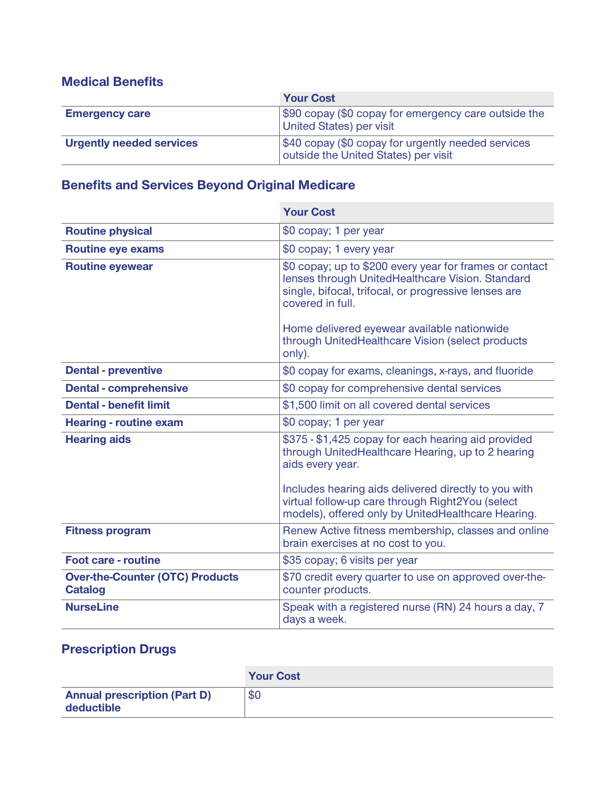#### **Medical Benefits**

|                                 | <b>Your Cost</b>                                                                           |  |
|---------------------------------|--------------------------------------------------------------------------------------------|--|
| <b>Emergency care</b>           | \$90 copay (\$0 copay for emergency care outside the<br>United States) per visit           |  |
| <b>Urgently needed services</b> | \$40 copay (\$0 copay for urgently needed services<br>outside the United States) per visit |  |

### **Benefits and Services Beyond Original Medicare**

|                                                          | <b>Your Cost</b>                                                                                                                                                                                                                                                                           |  |
|----------------------------------------------------------|--------------------------------------------------------------------------------------------------------------------------------------------------------------------------------------------------------------------------------------------------------------------------------------------|--|
| <b>Routine physical</b>                                  | \$0 copay; 1 per year                                                                                                                                                                                                                                                                      |  |
| <b>Routine eye exams</b>                                 | \$0 copay; 1 every year                                                                                                                                                                                                                                                                    |  |
| <b>Routine eyewear</b>                                   | \$0 copay; up to \$200 every year for frames or contact<br>lenses through UnitedHealthcare Vision. Standard<br>single, bifocal, trifocal, or progressive lenses are<br>covered in full.<br>Home delivered eyewear available nationwide<br>through UnitedHealthcare Vision (select products |  |
|                                                          | only).                                                                                                                                                                                                                                                                                     |  |
| <b>Dental - preventive</b>                               | \$0 copay for exams, cleanings, x-rays, and fluoride                                                                                                                                                                                                                                       |  |
| <b>Dental - comprehensive</b>                            | \$0 copay for comprehensive dental services                                                                                                                                                                                                                                                |  |
| <b>Dental - benefit limit</b>                            | \$1,500 limit on all covered dental services                                                                                                                                                                                                                                               |  |
| <b>Hearing - routine exam</b>                            | \$0 copay; 1 per year                                                                                                                                                                                                                                                                      |  |
| <b>Hearing aids</b>                                      | \$375 - \$1,425 copay for each hearing aid provided<br>through UnitedHealthcare Hearing, up to 2 hearing<br>aids every year.                                                                                                                                                               |  |
|                                                          | Includes hearing aids delivered directly to you with<br>virtual follow-up care through Right2You (select<br>models), offered only by UnitedHealthcare Hearing.                                                                                                                             |  |
| <b>Fitness program</b>                                   | Renew Active fitness membership, classes and online<br>brain exercises at no cost to you.                                                                                                                                                                                                  |  |
| <b>Foot care - routine</b>                               | \$35 copay; 6 visits per year                                                                                                                                                                                                                                                              |  |
| <b>Over-the-Counter (OTC) Products</b><br><b>Catalog</b> | \$70 credit every quarter to use on approved over-the-<br>counter products.                                                                                                                                                                                                                |  |
| <b>NurseLine</b>                                         | Speak with a registered nurse (RN) 24 hours a day, 7<br>days a week.                                                                                                                                                                                                                       |  |

## **Prescription Drugs**

|                                                   | <b>Your Cost</b> |
|---------------------------------------------------|------------------|
| <b>Annual prescription (Part D)</b><br>deductible | \$0              |